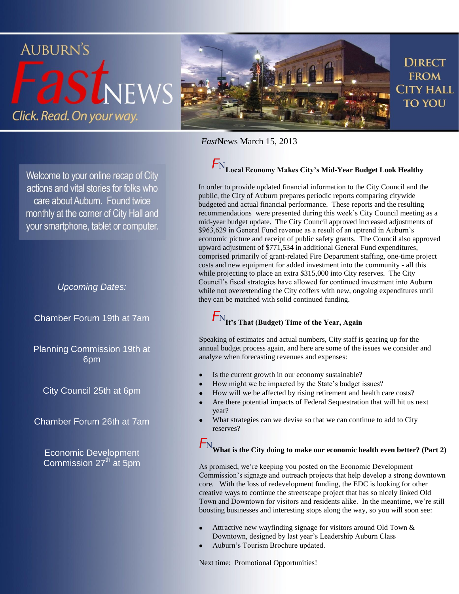

*Fast*News March 15, 2013

# **Local Economy Makes City's Mid-Year Budget Look Healthy**

In order to provide updated financial information to the City Council and the public, the City of Auburn prepares periodic reports comparing citywide budgeted and actual financial performance. These reports and the resulting recommendations were presented during this week's City Council meeting as a mid-year budget update. The City Council approved increased adjustments of \$963,629 in General Fund revenue as a result of an uptrend in Auburn's economic picture and receipt of public safety grants. The Council also approved upward adjustment of \$771,534 in additional General Fund expenditures, comprised primarily of grant-related Fire Department staffing, one-time project costs and new equipment for added investment into the community - all this while projecting to place an extra \$315,000 into City reserves. The City Council's fiscal strategies have allowed for continued investment into Auburn while not overextending the City coffers with new, ongoing expenditures until they can be matched with solid continued funding.

## **It's That (Budget) Time of the Year, Again**

Speaking of estimates and actual numbers, City staff is gearing up for the annual budget process again, and here are some of the issues we consider and analyze when forecasting revenues and expenses:

- Is the current growth in our economy sustainable?
- How might we be impacted by the State's budget issues?
- How will we be affected by rising retirement and health care costs?
- Are there potential impacts of Federal Sequestration that will hit us next year?
- What strategies can we devise so that we can continue to add to City reserves?

### **What is the City doing to make our economic health even better? (Part 2)**

As promised, we're keeping you posted on the Economic Development Commission's signage and outreach projects that help develop a strong downtown core. With the loss of redevelopment funding, the EDC is looking for other creative ways to continue the streetscape project that has so nicely linked Old Town and Downtown for visitors and residents alike. In the meantime, we're still boosting businesses and interesting stops along the way, so you will soon see:

- Attractive new wayfinding signage for visitors around Old Town & Downtown, designed by last year's Leadership Auburn Class
- Auburn's Tourism Brochure updated.

Next time: Promotional Opportunities!

Welcome to your online recap of City actions and vital stories for folks who care about Auburn. Found twice monthly at the corner of City Hall and your smartphone, tablet or computer.

#### *Upcoming Dates:*

Chamber Forum 19th at 7am

Planning Commission 19th at 6pm

City Council 25th at 6pm

Chamber Forum 26th at 7am

Economic Development Commission 27<sup>th</sup> at 5pm